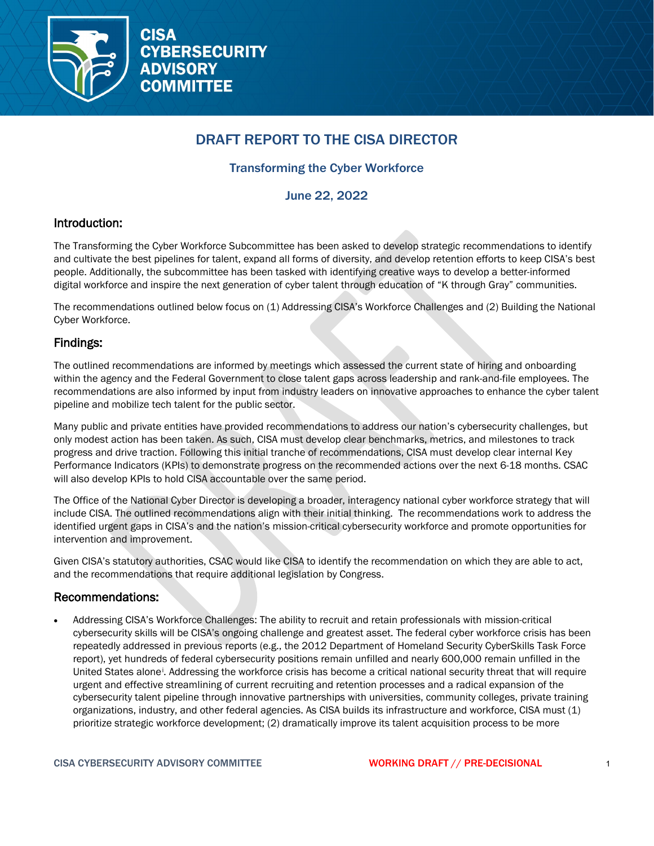

# DRAFT REPORT TO THE CISA DIRECTOR

# Transforming the Cyber Workforce

June 22, 2022

# Introduction:

The Transforming the Cyber Workforce Subcommittee has been asked to develop strategic recommendations to identify and cultivate the best pipelines for talent, expand all forms of diversity, and develop retention efforts to keep CISA's best people. Additionally, the subcommittee has been tasked with identifying creative ways to develop a better-informed digital workforce and inspire the next generation of cyber talent through education of "K through Gray" communities.

The recommendations outlined below focus on (1) Addressing CISA's Workforce Challenges and (2) Building the National Cyber Workforce.

# Findings:

The outlined recommendations are informed by meetings which assessed the current state of hiring and onboarding within the agency and the Federal Government to close talent gaps across leadership and rank-and-file employees. The recommendations are also informed by input from industry leaders on innovative approaches to enhance the cyber talent pipeline and mobilize tech talent for the public sector.

Many public and private entities have provided recommendations to address our nation's cybersecurity challenges, but only modest action has been taken. As such, CISA must develop clear benchmarks, metrics, and milestones to track progress and drive traction. Following this initial tranche of recommendations, CISA must develop clear internal Key Performance Indicators (KPIs) to demonstrate progress on the recommended actions over the next 6-18 months. CSAC will also develop KPIs to hold CISA accountable over the same period.

The Office of the National Cyber Director is developing a broader, interagency national cyber workforce strategy that will include CISA. The outlined recommendations align with their initial thinking. The recommendations work to address the identified urgent gaps in CISA's and the nation's mission-critical cybersecurity workforce and promote opportunities for intervention and improvement.

Given CISA's statutory authorities, CSAC would like CISA to identify the recommendation on which they are able to act, and the recommendations that require additional legislation by Congress.

# Recommendations:

• Addressing CISA's Workforce Challenges: The ability to recruit and retain professionals with mission-critical cybersecurity skills will be CISA's ongoing challenge and greatest asset. The federal cyber workforce crisis has been repeatedly addressed in previous reports (e.g., the 2012 Department of Homeland Security CyberSkills Task Force report), yet hundreds of federal cybersecurity positions remain unfilled and nearly 600,000 remain unfilled in the United States alone[i](#page-3-0) . Addressing the workforce crisis has become a critical national security threat that will require urgent and effective streamlining of current recruiting and retention processes and a radical expansion of the cybersecurity talent pipeline through innovative partnerships with universities, community colleges, private training organizations, industry, and other federal agencies. As CISA builds its infrastructure and workforce, CISA must (1) prioritize strategic workforce development; (2) dramatically improve its talent acquisition process to be more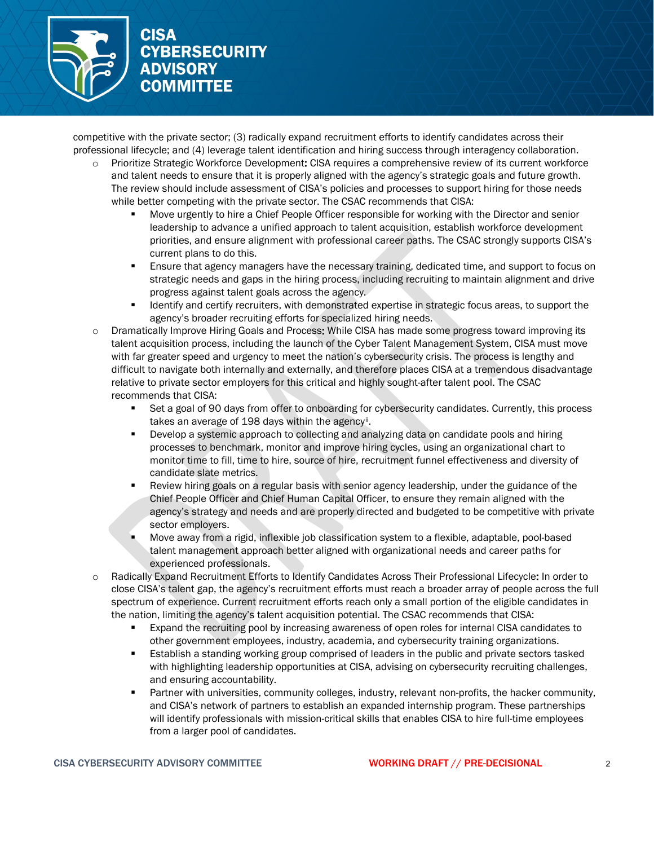

competitive with the private sector; (3) radically expand recruitment efforts to identify candidates across their professional lifecycle; and (4) leverage talent identification and hiring success through interagency collaboration.

- Prioritize Strategic Workforce Development: CISA requires a comprehensive review of its current workforce and talent needs to ensure that it is properly aligned with the agency's strategic goals and future growth. The review should include assessment of CISA's policies and processes to support hiring for those needs while better competing with the private sector. The CSAC recommends that CISA:
	- Move urgently to hire a Chief People Officer responsible for working with the Director and senior leadership to advance a unified approach to talent acquisition, establish workforce development priorities, and ensure alignment with professional career paths. The CSAC strongly supports CISA's current plans to do this.
	- **Ensure that agency managers have the necessary training, dedicated time, and support to focus on** strategic needs and gaps in the hiring process, including recruiting to maintain alignment and drive progress against talent goals across the agency.
	- Identify and certify recruiters, with demonstrated expertise in strategic focus areas, to support the agency's broader recruiting efforts for specialized hiring needs.
- o Dramatically Improve Hiring Goals and Process: While CISA has made some progress toward improving its talent acquisition process, including the launch of the Cyber Talent Management System, CISA must move with far greater speed and urgency to meet the nation's cybersecurity crisis. The process is lengthy and difficult to navigate both internally and externally, and therefore places CISA at a tremendous disadvantage relative to private sector employers for this critical and highly sought-after talent pool. The CSAC recommends that CISA:
	- Set a goal of 90 days from offer to onboarding for cybersecurity candidates. Currently, this process takes an average of 198 days within the agency[ii](#page-3-1).
	- Develop a systemic approach to collecting and analyzing data on candidate pools and hiring processes to benchmark, monitor and improve hiring cycles, using an organizational chart to monitor time to fill, time to hire, source of hire, recruitment funnel effectiveness and diversity of candidate slate metrics.
	- Review hiring goals on a regular basis with senior agency leadership, under the guidance of the Chief People Officer and Chief Human Capital Officer, to ensure they remain aligned with the agency's strategy and needs and are properly directed and budgeted to be competitive with private sector employers.
	- Move away from a rigid, inflexible job classification system to a flexible, adaptable, pool-based talent management approach better aligned with organizational needs and career paths for experienced professionals.
- o Radically Expand Recruitment Efforts to Identify Candidates Across Their Professional Lifecycle: In order to close CISA's talent gap, the agency's recruitment efforts must reach a broader array of people across the full spectrum of experience. Current recruitment efforts reach only a small portion of the eligible candidates in the nation, limiting the agency's talent acquisition potential. The CSAC recommends that CISA:
	- Expand the recruiting pool by increasing awareness of open roles for internal CISA candidates to other government employees, industry, academia, and cybersecurity training organizations.
	- Establish a standing working group comprised of leaders in the public and private sectors tasked with highlighting leadership opportunities at CISA, advising on cybersecurity recruiting challenges, and ensuring accountability.
	- Partner with universities, community colleges, industry, relevant non-profits, the hacker community, and CISA's network of partners to establish an expanded internship program. These partnerships will identify professionals with mission-critical skills that enables CISA to hire full-time employees from a larger pool of candidates.

### CISA CYBERSECURITY ADVISORY COMMITTEE WORKING DRAFT // PRE-DECISIONAL 2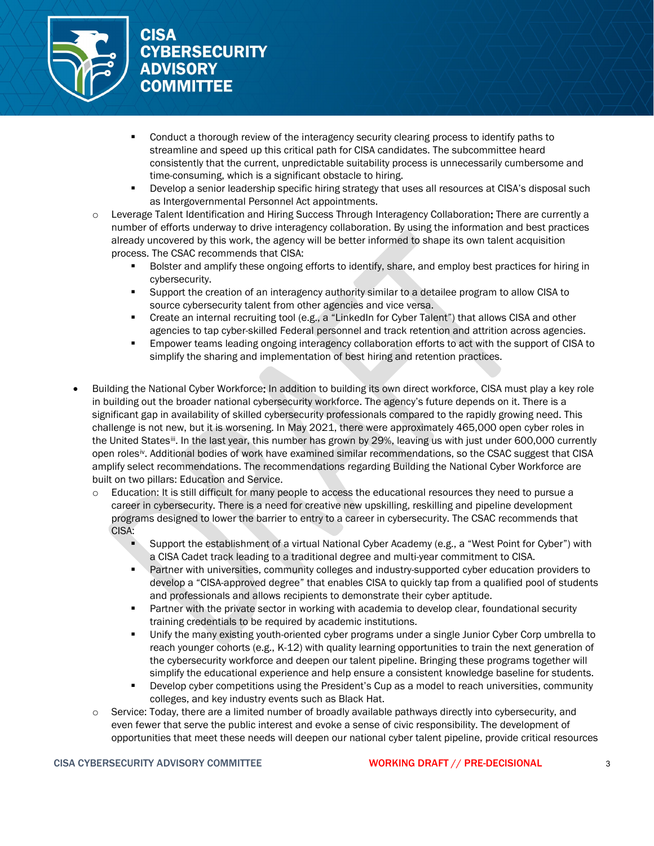

- **Conduct a thorough review of the interagency security clearing process to identify paths to** streamline and speed up this critical path for CISA candidates. The subcommittee heard consistently that the current, unpredictable suitability process is unnecessarily cumbersome and time-consuming, which is a significant obstacle to hiring.
- **Develop a senior leadership specific hiring strategy that uses all resources at CISA's disposal such** as Intergovernmental Personnel Act appointments.
- o Leverage Talent Identification and Hiring Success Through Interagency Collaboration: There are currently a number of efforts underway to drive interagency collaboration. By using the information and best practices already uncovered by this work, the agency will be better informed to shape its own talent acquisition process. The CSAC recommends that CISA:
	- Bolster and amplify these ongoing efforts to identify, share, and employ best practices for hiring in cybersecurity.
	- Support the creation of an interagency authority similar to a detailee program to allow CISA to source cybersecurity talent from other agencies and vice versa.
	- Create an internal recruiting tool (e.g., a "LinkedIn for Cyber Talent") that allows CISA and other agencies to tap cyber-skilled Federal personnel and track retention and attrition across agencies.
	- Empower teams leading ongoing interagency collaboration efforts to act with the support of CISA to simplify the sharing and implementation of best hiring and retention practices.
- Building the National Cyber Workforce: In addition to building its own direct workforce, CISA must play a key role in building out the broader national cybersecurity workforce. The agency's future depends on it. There is a significant gap in availability of skilled cybersecurity professionals compared to the rapidly growing need. This challenge is not new, but it is worsening. In May 2021, there were approximately 465,000 open cyber roles in the United States<sup>iii</sup>. In the last year, this number has grown by 29%, leaving us with just under 600,000 currently open rolesiv. Additional bodies of work have examined similar recommendations, so the CSAC suggest that CISA amplify select re[co](#page-3-2)mmendations. The recommendations regarding Building the National Cyber Workforce are built on tw[o](#page-3-3) pillars: Education and Service.
	- o Education: It is still difficult for many people to access the educational resources they need to pursue a career in cybersecurity. There is a need for creative new upskilling, reskilling and pipeline development programs designed to lower the barrier to entry to a career in cybersecurity. The CSAC recommends that CISA:
		- Support the establishment of a virtual National Cyber Academy (e.g., a "West Point for Cyber") with a CISA Cadet track leading to a traditional degree and multi-year commitment to CISA.
		- Partner with universities, community colleges and industry-supported cyber education providers to develop a "CISA-approved degree" that enables CISA to quickly tap from a qualified pool of students and professionals and allows recipients to demonstrate their cyber aptitude.
		- **Partner with the private sector in working with academia to develop clear, foundational security** training credentials to be required by academic institutions.
		- Unify the many existing youth-oriented cyber programs under a single Junior Cyber Corp umbrella to reach younger cohorts (e.g., K-12) with quality learning opportunities to train the next generation of the cybersecurity workforce and deepen our talent pipeline. Bringing these programs together will simplify the educational experience and help ensure a consistent knowledge baseline for students.
		- Develop cyber competitions using the President's Cup as a model to reach universities, community colleges, and key industry events such as Black Hat.
	- $\circ$  Service: Today, there are a limited number of broadly available pathways directly into cybersecurity, and even fewer that serve the public interest and evoke a sense of civic responsibility. The development of opportunities that meet these needs will deepen our national cyber talent pipeline, provide critical resources

#### CISA CYBERSECURITY ADVISORY COMMITTEE **WORKING DRAFT** // PRE-DECISIONAL 3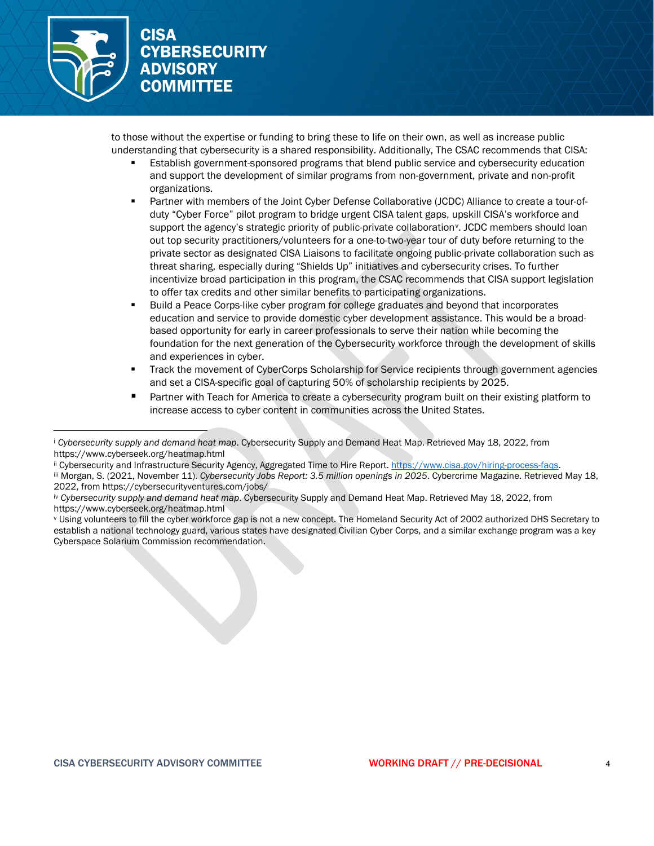

to those without the expertise or funding to bring these to life on their own, as well as increase public understanding that cybersecurity is a shared responsibility. Additionally, The CSAC recommends that CISA:

- Establish government-sponsored programs that blend public service and cybersecurity education and support the development of similar programs from non-government, private and non-profit organizations.
- Partner with members of the Joint Cyber Defense Collaborative (JCDC) Alliance to create a tour-ofduty "Cyber Force" pilot program to bridge urgent CISA talent gaps, upskill CISA's workforce and support the agency's strategic priority of public-private collaboration<sup>y</sup>. JCDC members should loan out top security practitioners/volunteers for a one-to-two-year tour of duty before returning to the private sector as designated CISA Liaisons to facilitate ongoing public-private collaboration such as threat sharing, especially during "Shields Up" initiatives and cybers[ec](#page-3-4)urity crises. To further incentivize broad participation in this program, the CSAC recommends that CISA support legislation to offer tax credits and other similar benefits to participating organizations.
- Build a Peace Corps-like cyber program for college graduates and beyond that incorporates education and service to provide domestic cyber development assistance. This would be a broadbased opportunity for early in career professionals to serve their nation while becoming the foundation for the next generation of the Cybersecurity workforce through the development of skills and experiences in cyber.
- Track the movement of CyberCorps Scholarship for Service recipients through government agencies and set a CISA-specific goal of capturing 50% of scholarship recipients by 2025.
- **Partner with Teach for America to create a cybersecurity program built on their existing platform to** increase access to cyber content in communities across the United States.

<sup>i</sup> *Cybersecurity supply and demand heat map*. Cybersecurity Supply and Demand Heat Map. Retrieved May 18, 2022, from https://www.cyberseek.org/heatmap.html<br>ii Cybersecurity and Infrastructure Security Agency, Aggregated Time to Hire Report. https://www.cisa.gov/hiring-process-fags.

<span id="page-3-0"></span>iii Morgan, S. (2021, November 11). Cybersecurity Jobs Report: 3.5 million openings in 2025. Cybercrime Magazine. Retrieved May 18, 2022, from https://cybersecurityventures.com/jobs/

<span id="page-3-1"></span><sup>&</sup>lt;sup>iv</sup> Cybersecurity supply and demand heat map. Cybersecurity Supply and Demand Heat Map. Retrieved May 18, 2022, from https://www.cyberseek.org/heatmap.html

<span id="page-3-4"></span><span id="page-3-3"></span><span id="page-3-2"></span><sup>v</sup> Using volunteers to fill the cyber workforce gap is not a new concept. The Homeland Security Act of 2002 authorized DHS Secretary to establish a national technology guard, various states have designated Civilian Cyber Corps, and a similar exchange program was a key Cyberspace Solarium Commission recommendation.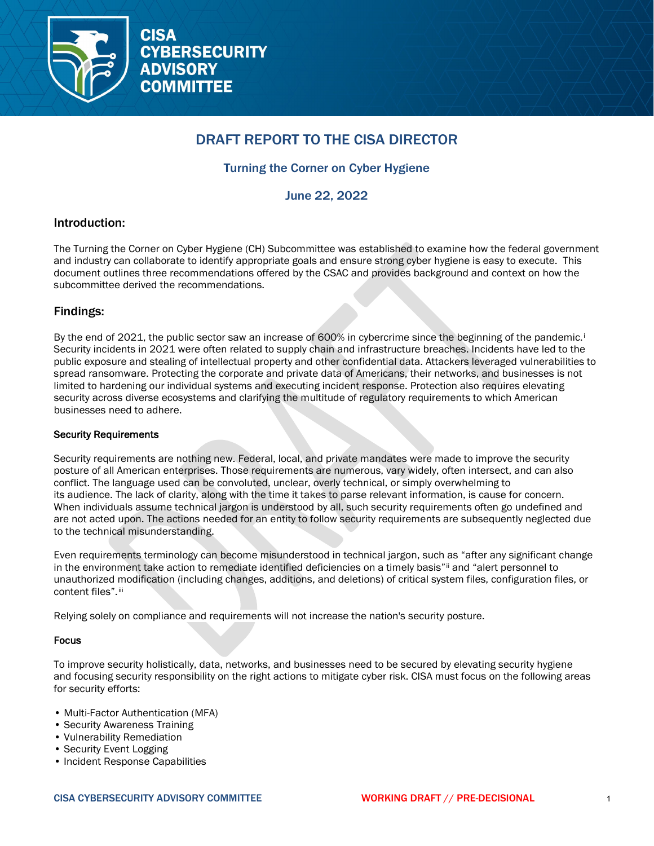

# DRAFT REPORT TO THE CISA DIRECTOR

# Turning the Corner on Cyber Hygiene

June 22, 2022

# Introduction:

The Turning the Corner on Cyber Hygiene (CH) Subcommittee was established to examine how the federal government and industry can collaborate to identify appropriate goals and ensure strong cyber hygiene is easy to execute. This document outlines three recommendations offered by the CSAC and provides background and context on how the subcommittee derived the recommendations.

# Findings:

By the end of 2021, the publ[i](#page-8-0)c sector saw an increase of 600% in cybercrime since the beginning of the pandemic.<sup>1</sup> Security incidents in 2021 were often related to supply chain and infrastructure breaches. Incidents have led to the public exposure and stealing of intellectual property and other confidential data. Attackers leveraged vulnerabilities to spread ransomware. Protecting the corporate and private data of Americans, their networks, and businesses is not limited to hardening our individual systems and executing incident response. Protection also requires elevating security across diverse ecosystems and clarifying the multitude of regulatory requirements to which American businesses need to adhere.

#### Security Requirements

Security requirements are nothing new. Federal, local, and private mandates were made to improve the security posture of all American enterprises. Those requirements are numerous, vary widely, often intersect, and can also conflict. The language used can be convoluted, unclear, overly technical, or simply overwhelming to its audience. The lack of clarity, along with the time it takes to parse relevant information, is cause for concern. When individuals assume technical jargon is understood by all, such security requirements often go undefined and are not acted upon. The actions needed for an entity to follow security requirements are subsequently neglected due to the technical misunderstanding.

Even requirements terminology can become misunderstood in technical jargon, such as "after any significant change in the environment take action to remediate identified deficiencies on a timely basis"[ii](#page-8-1) and "alert personnel to unauthorized modification (including changes, additions, and deletions) of critical system files, configuration files, or content files". iii

Relying solely on compliance and requirements will not increase the nation's security posture.

#### Focus

To improve security holistically, data, networks, and businesses need to be secured by elevating security hygiene and focusing security responsibility on the right actions to mitigate cyber risk. CISA must focus on the following areas for security efforts:

- Multi-Factor Authentication (MFA)
- Security Awareness Training
- Vulnerability Remediation
- Security Event Logging
- Incident Response Capabilities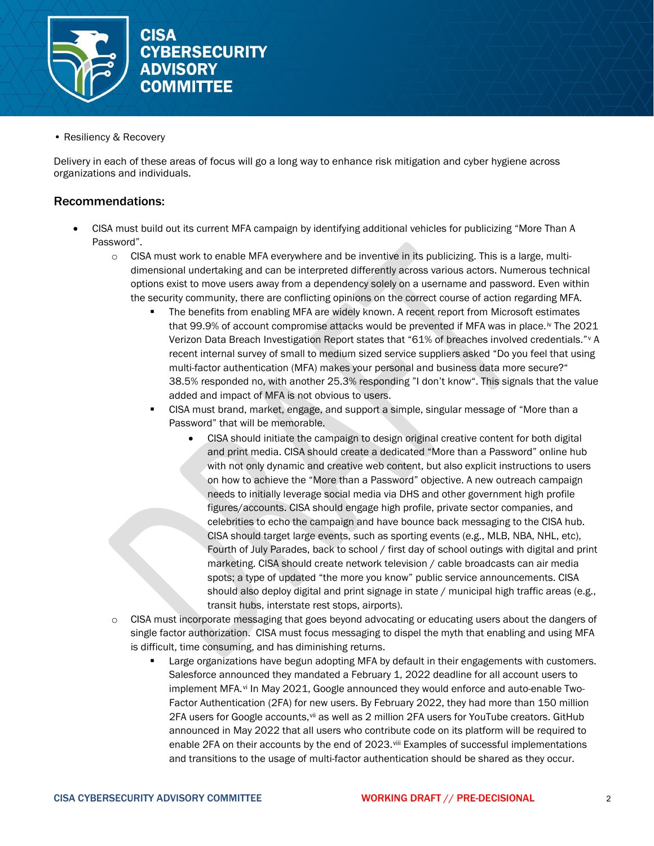

• Resiliency & Recovery

Delivery in each of these areas of focus will go a long way to enhance risk mitigation and cyber hygiene across organizations and individuals.

### Recommendations:

- CISA must build out its current MFA campaign by identifying additional vehicles for publicizing "More Than A Password".
	- $\circ$  CISA must work to enable MFA everywhere and be inventive in its publicizing. This is a large, multidimensional undertaking and can be interpreted differently across various actors. Numerous technical options exist to move users away from a dependency solely on a username and password. Even within the security community, there are conflicting opinions on the correct course of action regarding MFA.
		- The benefits from enabling MFA are widely known. A recent report from Microsoft estimates that 99.9% of account compromise attacks would be prevented if MFA was in place.<sup>[iv](#page-8-3)</sup> The 2021 Verizon Data Breach Investigation Report states that "61% of breaches involved credentials."[v](#page-8-4) A recent internal survey of small to medium sized service suppliers asked "Do you feel that using multi-factor authentication (MFA) makes your personal and business data more secure?" 38.5% responded no, with another 25.3% responding "I don't know". This signals that the value added and impact of MFA is not obvious to users.
		- CISA must brand, market, engage, and support a simple, singular message of "More than a Password" that will be memorable.
			- CISA should initiate the campaign to design original creative content for both digital and print media. CISA should create a dedicated "More than a Password" online hub with not only dynamic and creative web content, but also explicit instructions to users on how to achieve the "More than a Password" objective. A new outreach campaign needs to initially leverage social media via DHS and other government high profile figures/accounts. CISA should engage high profile, private sector companies, and celebrities to echo the campaign and have bounce back messaging to the CISA hub. CISA should target large events, such as sporting events (e.g., MLB, NBA, NHL, etc), Fourth of July Parades, back to school / first day of school outings with digital and print marketing. CISA should create network television / cable broadcasts can air media spots; a type of updated "the more you know" public service announcements. CISA should also deploy digital and print signage in state / municipal high traffic areas (e.g., transit hubs, interstate rest stops, airports).
	- $\circ$  CISA must incorporate messaging that goes beyond advocating or educating users about the dangers of single factor authorization. CISA must focus messaging to dispel the myth that enabling and using MFA is difficult, time consuming, and has diminishing returns.
		- **EXECT ADDE EXECTS FIRE 20 I** alorget MEA by default in their engagements with customers. Salesforce announced they mandated a February 1, 2022 deadline for all account users to implement MFA.[vi](#page-8-5) In May 2021, Google announced they would enforce and auto-enable Two-Factor Authentication (2FA) for new users. By February 2022, they had more than 150 million 2FA users for Google accounts, [vii](#page-8-6) as well as 2 million 2FA users for YouTube creators. GitHub announced in May 2022 that all users who contribute code on its platform will be required to enable 2FA on their accounts by the end of 2023.<sup>[viii](#page-8-7)</sup> Examples of successful implementations and transitions to the usage of multi-factor authentication should be shared as they occur.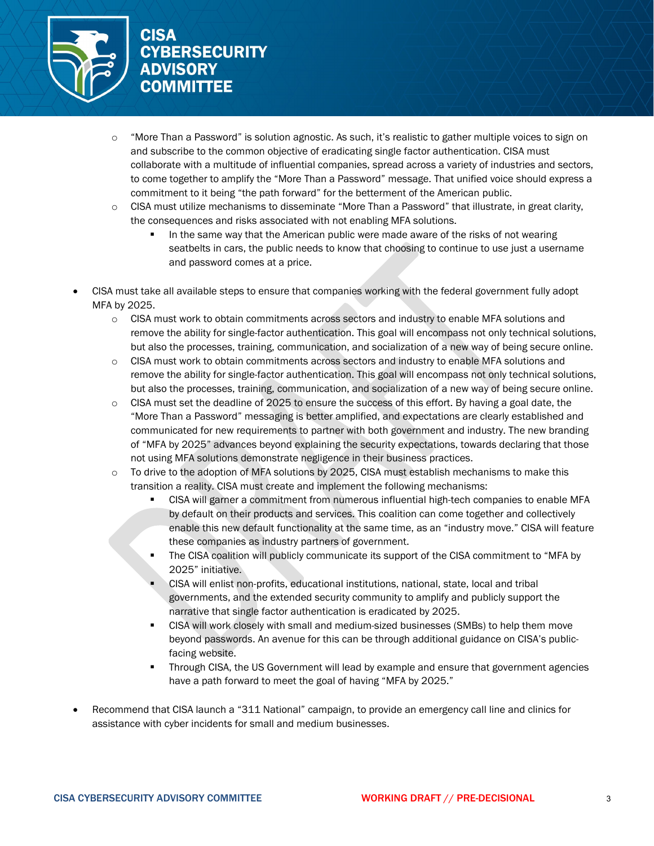

- o "More Than a Password" is solution agnostic. As such, it's realistic to gather multiple voices to sign on and subscribe to the common objective of eradicating single factor authentication. CISA must collaborate with a multitude of influential companies, spread across a variety of industries and sectors, to come together to amplify the "More Than a Password" message. That unified voice should express a commitment to it being "the path forward" for the betterment of the American public.
- o CISA must utilize mechanisms to disseminate "More Than a Password" that illustrate, in great clarity, the consequences and risks associated with not enabling MFA solutions.
	- In the same way that the American public were made aware of the risks of not wearing seatbelts in cars, the public needs to know that choosing to continue to use just a username and password comes at a price.
- CISA must take all available steps to ensure that companies working with the federal government fully adopt MFA by 2025.
	- o CISA must work to obtain commitments across sectors and industry to enable MFA solutions and remove the ability for single-factor authentication. This goal will encompass not only technical solutions, but also the processes, training, communication, and socialization of a new way of being secure online.
	- o CISA must work to obtain commitments across sectors and industry to enable MFA solutions and remove the ability for single-factor authentication. This goal will encompass not only technical solutions, but also the processes, training, communication, and socialization of a new way of being secure online.
	- $\circ$  CISA must set the deadline of 2025 to ensure the success of this effort. By having a goal date, the "More Than a Password" messaging is better amplified, and expectations are clearly established and communicated for new requirements to partner with both government and industry. The new branding of "MFA by 2025" advances beyond explaining the security expectations, towards declaring that those not using MFA solutions demonstrate negligence in their business practices.
	- o To drive to the adoption of MFA solutions by 2025, CISA must establish mechanisms to make this transition a reality. CISA must create and implement the following mechanisms:
		- CISA will garner a commitment from numerous influential high-tech companies to enable MFA by default on their products and services. This coalition can come together and collectively enable this new default functionality at the same time, as an "industry move." CISA will feature these companies as industry partners of government.
		- **The CISA coalition will publicly communicate its support of the CISA commitment to "MFA by** 2025" initiative.
		- CISA will enlist non-profits, educational institutions, national, state, local and tribal governments, and the extended security community to amplify and publicly support the narrative that single factor authentication is eradicated by 2025.
		- CISA will work closely with small and medium-sized businesses (SMBs) to help them move beyond passwords. An avenue for this can be through additional guidance on CISA's publicfacing website.
		- Through CISA, the US Government will lead by example and ensure that government agencies have a path forward to meet the goal of having "MFA by 2025."
- Recommend that CISA launch a "311 National" campaign, to provide an emergency call line and clinics for assistance with cyber incidents for small and medium businesses.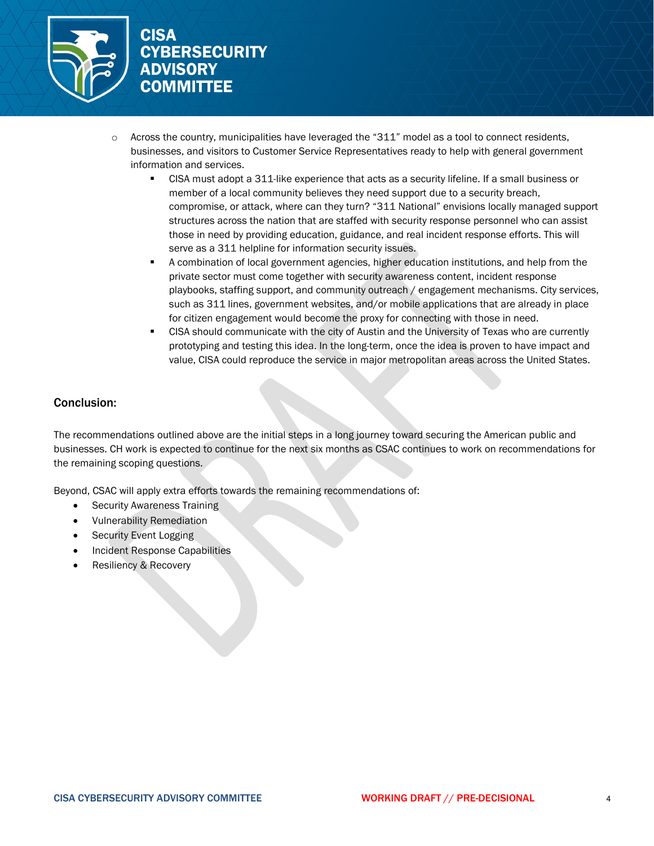

- Across the country, municipalities have leveraged the "311" model as a tool to connect residents, businesses, and visitors to Customer Service Representatives ready to help with general government information and services.
	- CISA must adopt a 311-like experience that acts as a security lifeline. If a small business or member of a local community believes they need support due to a security breach, compromise, or attack, where can they turn? "311 National" envisions locally managed support structures across the nation that are staffed with security response personnel who can assist those in need by providing education, guidance, and real incident response efforts. This will serve as a 311 helpline for information security issues.
	- A combination of local government agencies, higher education institutions, and help from the private sector must come together with security awareness content, incident response playbooks, staffing support, and community outreach / engagement mechanisms. City services, such as 311 lines, government websites, and/or mobile applications that are already in place for citizen engagement would become the proxy for connecting with those in need.
	- CISA should communicate with the city of Austin and the University of Texas who are currently prototyping and testing this idea. In the long-term, once the idea is proven to have impact and value, CISA could reproduce the service in major metropolitan areas across the United States.

# Conclusion:

The recommendations outlined above are the initial steps in a long journey toward securing the American public and businesses. CH work is expected to continue for the next six months as CSAC continues to work on recommendations for the remaining scoping questions.

Beyond, CSAC will apply extra efforts towards the remaining recommendations of:

- Security Awareness Training
- Vulnerability Remediation
- Security Event Logging
- Incident Response Capabilities
- Resiliency & Recovery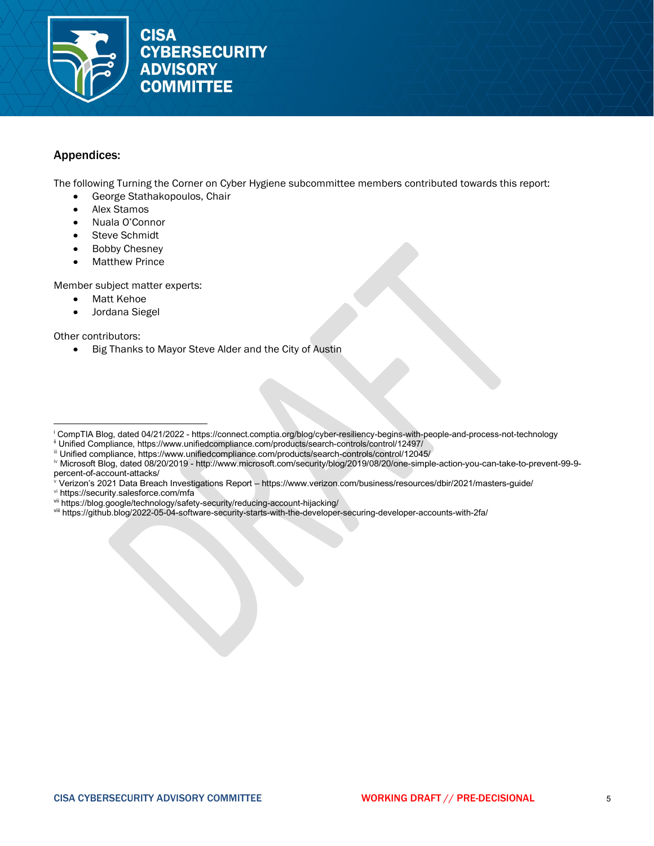

### Appendices:

The following Turning the Corner on Cyber Hygiene subcommittee members contributed towards this report:

- George Stathakopoulos, Chair
- Alex Stamos
- Nuala O'Connor
- Steve Schmidt
- **Bobby Chesney**
- **Matthew Prince**

Member subject matter experts:

- **Matt Kehoe**
- Jordana Siegel

Other contributors:

• Big Thanks to Mayor Steve Alder and the City of Austin

- <span id="page-8-1"></span>ii Unified Compliance, https://www.unifiedcompliance.com/products/search-controls/control/12497/
- <span id="page-8-2"></span>iii Unified compliance, https://www.unifiedcompliance.com/products/search-controls/control/12045/

- <sup>v</sup> Verizon's 2021 Data Breach Investigations Report https://www.verizon.com/business/resources/dbir/2021/masters-guide/
- <span id="page-8-5"></span><span id="page-8-4"></span>vi https://security.salesforce.com/mfa
- <span id="page-8-6"></span>vii https://blog.google/technology/safety-security/reducing-account-hijacking/
- <span id="page-8-7"></span>viii https://github.blog/2022-05-04-software-security-starts-with-the-developer-securing-developer-accounts-with-2fa/

<span id="page-8-0"></span><sup>i</sup> CompTIA Blog, dated 04/21/2022 - https://connect.comptia.org/blog/cyber-resiliency-begins-with-people-and-process-not-technology

<span id="page-8-3"></span>iv Microsoft Blog, dated 08/20/2019 - http://www.microsoft.com/security/blog/2019/08/20/one-simple-action-you-can-take-to-prevent-99-9 percent-of-account-attacks/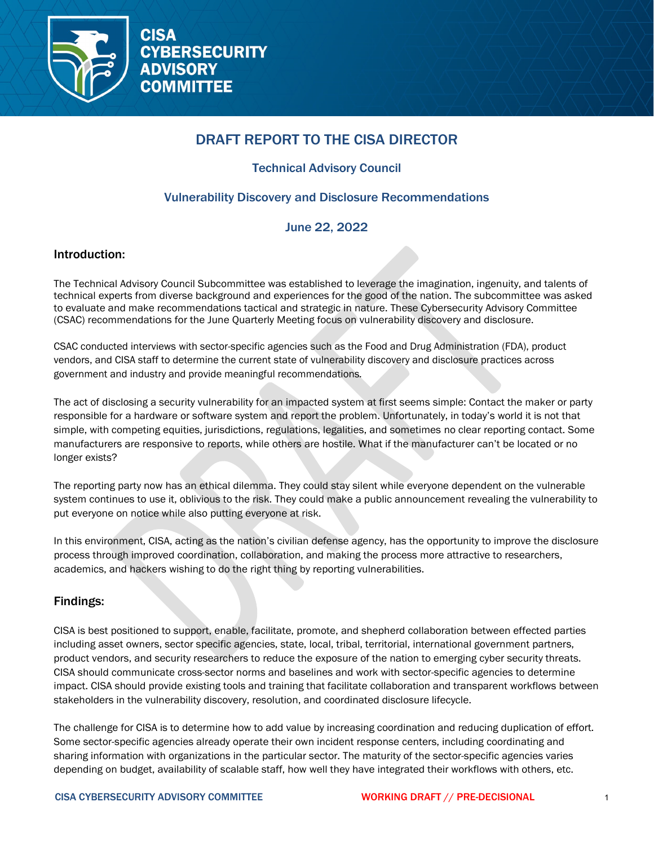

# DRAFT REPORT TO THE CISA DIRECTOR

# Technical Advisory Council

# Vulnerability Discovery and Disclosure Recommendations

# June 22, 2022

# Introduction:

The Technical Advisory Council Subcommittee was established to leverage the imagination, ingenuity, and talents of technical experts from diverse background and experiences for the good of the nation. The subcommittee was asked to evaluate and make recommendations tactical and strategic in nature. These Cybersecurity Advisory Committee (CSAC) recommendations for the June Quarterly Meeting focus on vulnerability discovery and disclosure.

CSAC conducted interviews with sector-specific agencies such as the Food and Drug Administration (FDA), product vendors, and CISA staff to determine the current state of vulnerability discovery and disclosure practices across government and industry and provide meaningful recommendations*.*

The act of disclosing a security vulnerability for an impacted system at first seems simple: Contact the maker or party responsible for a hardware or software system and report the problem. Unfortunately, in today's world it is not that simple, with competing equities, jurisdictions, regulations, legalities, and sometimes no clear reporting contact. Some manufacturers are responsive to reports, while others are hostile. What if the manufacturer can't be located or no longer exists?

The reporting party now has an ethical dilemma. They could stay silent while everyone dependent on the vulnerable system continues to use it, oblivious to the risk. They could make a public announcement revealing the vulnerability to put everyone on notice while also putting everyone at risk.

In this environment, CISA, acting as the nation's civilian defense agency, has the opportunity to improve the disclosure process through improved coordination, collaboration, and making the process more attractive to researchers, academics, and hackers wishing to do the right thing by reporting vulnerabilities.

# Findings:

CISA is best positioned to support, enable, facilitate, promote, and shepherd collaboration between effected parties including asset owners, sector specific agencies, state, local, tribal, territorial, international government partners, product vendors, and security researchers to reduce the exposure of the nation to emerging cyber security threats. CISA should communicate cross-sector norms and baselines and work with sector-specific agencies to determine impact. CISA should provide existing tools and training that facilitate collaboration and transparent workflows between stakeholders in the vulnerability discovery, resolution, and coordinated disclosure lifecycle.

The challenge for CISA is to determine how to add value by increasing coordination and reducing duplication of effort. Some sector-specific agencies already operate their own incident response centers, including coordinating and sharing information with organizations in the particular sector. The maturity of the sector-specific agencies varies depending on budget, availability of scalable staff, how well they have integrated their workflows with others, etc.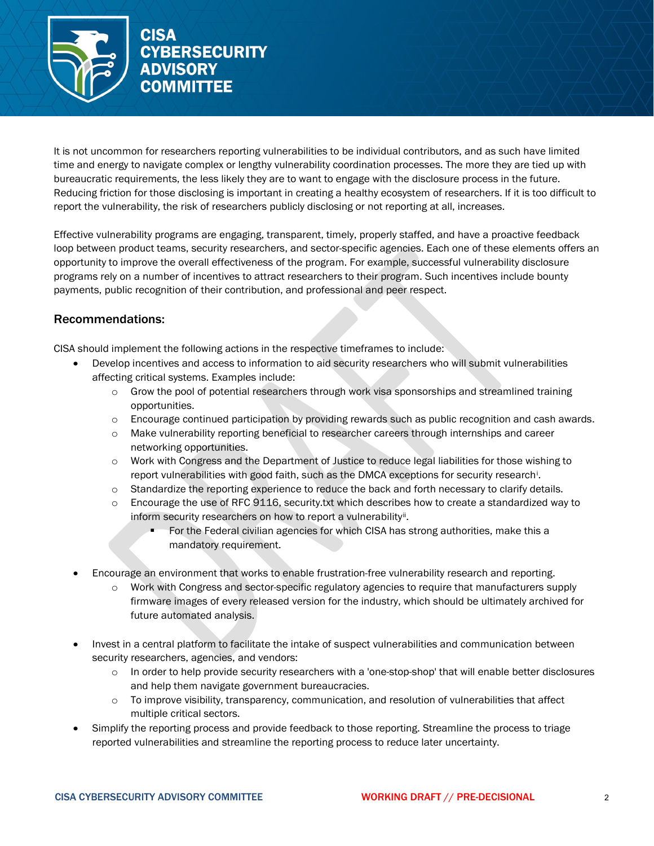

It is not uncommon for researchers reporting vulnerabilities to be individual contributors, and as such have limited time and energy to navigate complex or lengthy vulnerability coordination processes. The more they are tied up with bureaucratic requirements, the less likely they are to want to engage with the disclosure process in the future. Reducing friction for those disclosing is important in creating a healthy ecosystem of researchers. If it is too difficult to report the vulnerability, the risk of researchers publicly disclosing or not reporting at all, increases.

Effective vulnerability programs are engaging, transparent, timely, properly staffed, and have a proactive feedback loop between product teams, security researchers, and sector-specific agencies. Each one of these elements offers an opportunity to improve the overall effectiveness of the program. For example, successful vulnerability disclosure programs rely on a number of incentives to attract researchers to their program. Such incentives include bounty payments, public recognition of their contribution, and professional and peer respect.

# Recommendations:

CISA should implement the following actions in the respective timeframes to include:

- Develop incentives and access to information to aid security researchers who will submit vulnerabilities affecting critical systems. Examples include:
	- $\circ$  Grow the pool of potential researchers through work visa sponsorships and streamlined training opportunities.
	- $\circ$  Encourage continued participation by providing rewards such as public recognition and cash awards.
	- o Make vulnerability reporting beneficial to researcher careers through internships and career networking opportunities.
	- o Work with Congress and the Department of Justice to reduce legal liabilities for those wishing to report vulnerab[i](#page-15-0)lities with good faith, such as the DMCA exceptions for security research<sup>i</sup>.
	- o Standardize the reporting experience to reduce the back and forth necessary to clarify details.
	- $\circ$  Encourage the use of RFC 9116, security.txt which describes how to create a standardized way to inform security researchers on how to report a vulnerability".
		- For the Federal civilian agencies for which CISA has strong authorities, make this a mandatory requirement.
- Encourage an environment that works to enable frustration-free vulnerability research and reporting.
	- o Work with Congress and sector-specific regulatory agencies to require that manufacturers supply firmware images of every released version for the industry, which should be ultimately archived for future automated analysis.
- Invest in a central platform to facilitate the intake of suspect vulnerabilities and communication between security researchers, agencies, and vendors:
	- $\circ$  In order to help provide security researchers with a 'one-stop-shop' that will enable better disclosures and help them navigate government bureaucracies.
	- $\circ$  To improve visibility, transparency, communication, and resolution of vulnerabilities that affect multiple critical sectors.
- Simplify the reporting process and provide feedback to those reporting. Streamline the process to triage reported vulnerabilities and streamline the reporting process to reduce later uncertainty.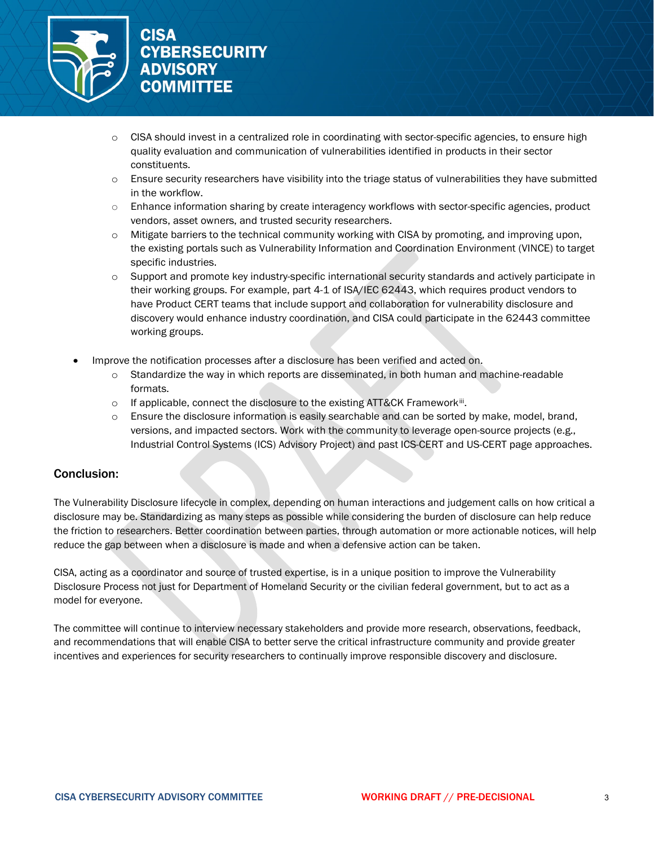

- CISA should invest in a centralized role in coordinating with sector-specific agencies, to ensure high quality evaluation and communication of vulnerabilities identified in products in their sector constituents.
- $\circ$  Ensure security researchers have visibility into the triage status of vulnerabilities they have submitted in the workflow.
- $\circ$  Enhance information sharing by create interagency workflows with sector-specific agencies, product vendors, asset owners, and trusted security researchers.
- $\circ$  Mitigate barriers to the technical community working with CISA by promoting, and improving upon, the existing portals such as Vulnerability Information and Coordination Environment (VINCE) to target specific industries.
- $\circ$  Support and promote key industry-specific international security standards and actively participate in their working groups. For example, part 4-1 of ISA/IEC 62443, which requires product vendors to have Product CERT teams that include support and collaboration for vulnerability disclosure and discovery would enhance industry coordination, and CISA could participate in the 62443 committee working groups.
- Improve the notification processes after a disclosure has been verified and acted on.
	- o Standardize the way in which reports are disseminated, in both human and machine-readable formats.
	- $\circ$  If applicable, connect the disclosure to the existing ATT&CK Framework<sup>iii</sup>.
	- o Ensure the disclosure information is easily searchable and can be sorted by make, model, brand, versions, and impacted sectors. Work with the community to leverage open-source projects (e.g., Industrial Control Systems (ICS) Advisory Project) and past ICS-CERT and US-CERT page approaches.

# Conclusion:

The Vulnerability Disclosure lifecycle in complex, depending on human interactions and judgement calls on how critical a disclosure may be. Standardizing as many steps as possible while considering the burden of disclosure can help reduce the friction to researchers. Better coordination between parties, through automation or more actionable notices, will help reduce the gap between when a disclosure is made and when a defensive action can be taken.

CISA, acting as a coordinator and source of trusted expertise, is in a unique position to improve the Vulnerability Disclosure Process not just for Department of Homeland Security or the civilian federal government, but to act as a model for everyone.

The committee will continue to interview necessary stakeholders and provide more research, observations, feedback, and recommendations that will enable CISA to better serve the critical infrastructure community and provide greater incentives and experiences for security researchers to continually improve responsible discovery and disclosure.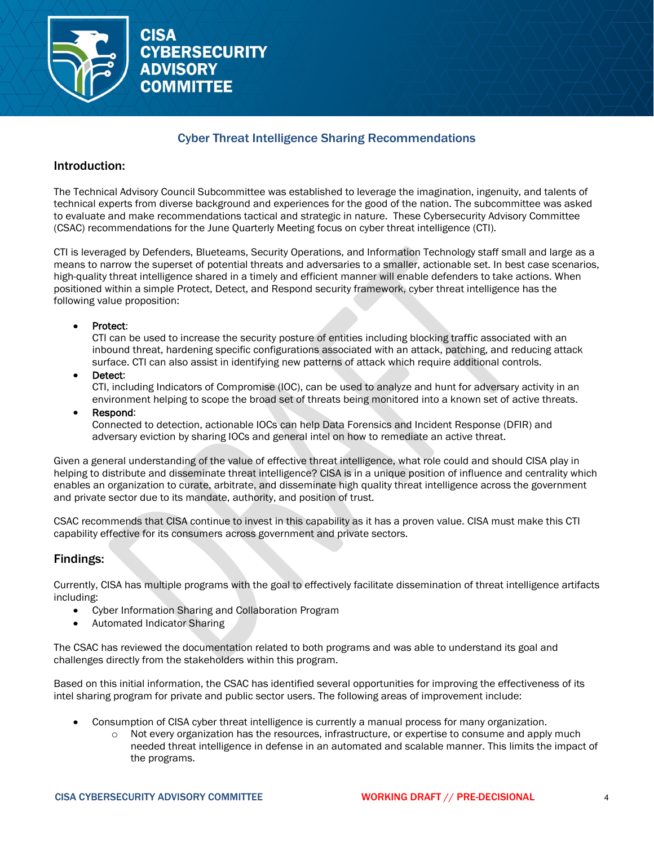

# Cyber Threat Intelligence Sharing Recommendations

### Introduction:

The Technical Advisory Council Subcommittee was established to leverage the imagination, ingenuity, and talents of technical experts from diverse background and experiences for the good of the nation. The subcommittee was asked to evaluate and make recommendations tactical and strategic in nature. These Cybersecurity Advisory Committee (CSAC) recommendations for the June Quarterly Meeting focus on cyber threat intelligence (CTI).

CTI is leveraged by Defenders, Blueteams, Security Operations, and Information Technology staff small and large as a means to narrow the superset of potential threats and adversaries to a smaller, actionable set. In best case scenarios, high-quality threat intelligence shared in a timely and efficient manner will enable defenders to take actions. When positioned within a simple Protect, Detect, and Respond security framework, cyber threat intelligence has the following value proposition:

#### • Protect:

CTI can be used to increase the security posture of entities including blocking traffic associated with an inbound threat, hardening specific configurations associated with an attack, patching, and reducing attack surface. CTI can also assist in identifying new patterns of attack which require additional controls.

Detect:

CTI, including Indicators of Compromise (IOC), can be used to analyze and hunt for adversary activity in an environment helping to scope the broad set of threats being monitored into a known set of active threats.

• Respond:

Connected to detection, actionable IOCs can help Data Forensics and Incident Response (DFIR) and adversary eviction by sharing IOCs and general intel on how to remediate an active threat.

Given a general understanding of the value of effective threat intelligence, what role could and should CISA play in helping to distribute and disseminate threat intelligence? CISA is in a unique position of influence and centrality which enables an organization to curate, arbitrate, and disseminate high quality threat intelligence across the government and private sector due to its mandate, authority, and position of trust.

CSAC recommends that CISA continue to invest in this capability as it has a proven value. CISA must make this CTI capability effective for its consumers across government and private sectors.

# Findings:

Currently, CISA has multiple programs with the goal to effectively facilitate dissemination of threat intelligence artifacts including:

- Cyber Information Sharing and Collaboration Program
- Automated Indicator Sharing

The CSAC has reviewed the documentation related to both programs and was able to understand its goal and challenges directly from the stakeholders within this program.

Based on this initial information, the CSAC has identified several opportunities for improving the effectiveness of its intel sharing program for private and public sector users. The following areas of improvement include:

- Consumption of CISA cyber threat intelligence is currently a manual process for many organization.
	- o Not every organization has the resources, infrastructure, or expertise to consume and apply much needed threat intelligence in defense in an automated and scalable manner. This limits the impact of the programs.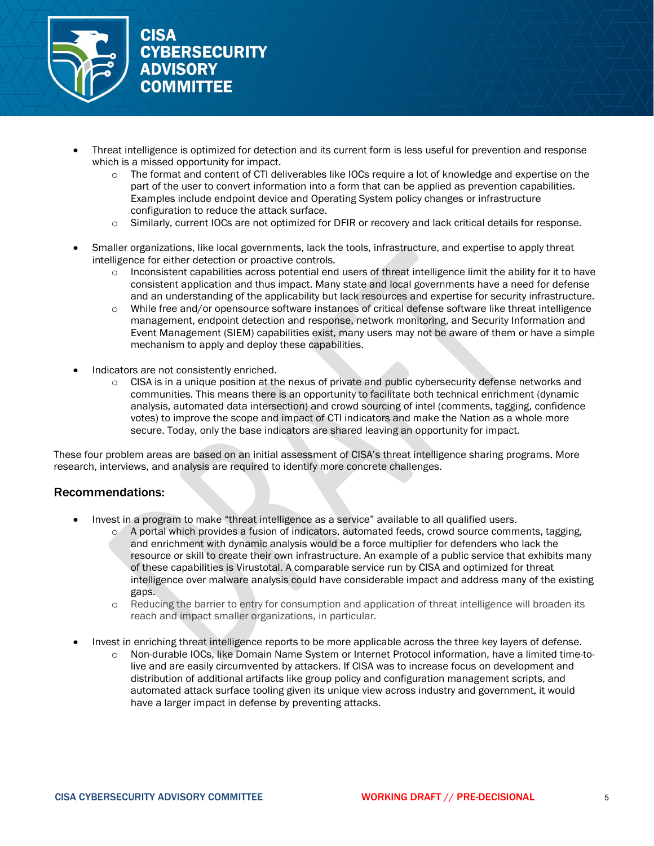

- Threat intelligence is optimized for detection and its current form is less useful for prevention and response which is a missed opportunity for impact.
	- $\circ$  The format and content of CTI deliverables like IOCs require a lot of knowledge and expertise on the part of the user to convert information into a form that can be applied as prevention capabilities. Examples include endpoint device and Operating System policy changes or infrastructure configuration to reduce the attack surface.
	- o Similarly, current IOCs are not optimized for DFIR or recovery and lack critical details for response.
- Smaller organizations, like local governments, lack the tools, infrastructure, and expertise to apply threat intelligence for either detection or proactive controls.
	- o Inconsistent capabilities across potential end users of threat intelligence limit the ability for it to have consistent application and thus impact. Many state and local governments have a need for defense and an understanding of the applicability but lack resources and expertise for security infrastructure.
	- o While free and/or opensource software instances of critical defense software like threat intelligence management, endpoint detection and response, network monitoring, and Security Information and Event Management (SIEM) capabilities exist, many users may not be aware of them or have a simple mechanism to apply and deploy these capabilities.
- Indicators are not consistently enriched.
	- o CISA is in a unique position at the nexus of private and public cybersecurity defense networks and communities. This means there is an opportunity to facilitate both technical enrichment (dynamic analysis, automated data intersection) and crowd sourcing of intel (comments, tagging, confidence votes) to improve the scope and impact of CTI indicators and make the Nation as a whole more secure. Today, only the base indicators are shared leaving an opportunity for impact.

These four problem areas are based on an initial assessment of CISA's threat intelligence sharing programs. More research, interviews, and analysis are required to identify more concrete challenges.

# Recommendations:

- Invest in a program to make "threat intelligence as a service" available to all qualified users.
	- o A portal which provides a fusion of indicators, automated feeds, crowd source comments, tagging, and enrichment with dynamic analysis would be a force multiplier for defenders who lack the resource or skill to create their own infrastructure. An example of a public service that exhibits many of these capabilities is Virustotal. A comparable service run by CISA and optimized for threat intelligence over malware analysis could have considerable impact and address many of the existing gaps.
	- o Reducing the barrier to entry for consumption and application of threat intelligence will broaden its reach and impact smaller organizations, in particular.
- Invest in enriching threat intelligence reports to be more applicable across the three key layers of defense.
	- o Non-durable IOCs, like Domain Name System or Internet Protocol information, have a limited time-tolive and are easily circumvented by attackers. If CISA was to increase focus on development and distribution of additional artifacts like group policy and configuration management scripts, and automated attack surface tooling given its unique view across industry and government, it would have a larger impact in defense by preventing attacks.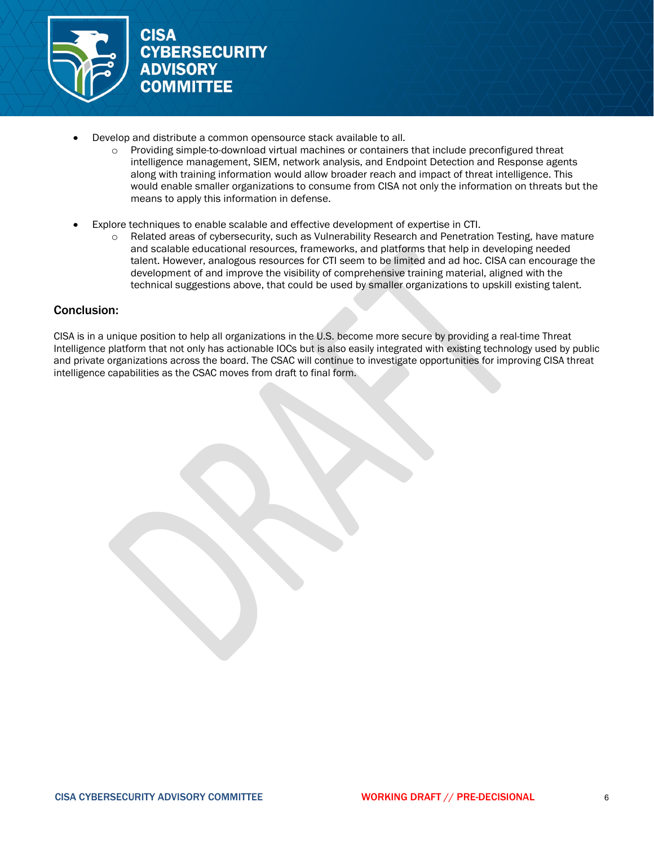

- Develop and distribute a common opensource stack available to all.
	- o Providing simple-to-download virtual machines or containers that include preconfigured threat intelligence management, SIEM, network analysis, and Endpoint Detection and Response agents along with training information would allow broader reach and impact of threat intelligence. This would enable smaller organizations to consume from CISA not only the information on threats but the means to apply this information in defense.
- Explore techniques to enable scalable and effective development of expertise in CTI.
	- o Related areas of cybersecurity, such as Vulnerability Research and Penetration Testing, have mature and scalable educational resources, frameworks, and platforms that help in developing needed talent. However, analogous resources for CTI seem to be limited and ad hoc. CISA can encourage the development of and improve the visibility of comprehensive training material, aligned with the technical suggestions above, that could be used by smaller organizations to upskill existing talent.

### Conclusion:

CISA is in a unique position to help all organizations in the U.S. become more secure by providing a real-time Threat Intelligence platform that not only has actionable IOCs but is also easily integrated with existing technology used by public and private organizations across the board. The CSAC will continue to investigate opportunities for improving CISA threat intelligence capabilities as the CSAC moves from draft to final form.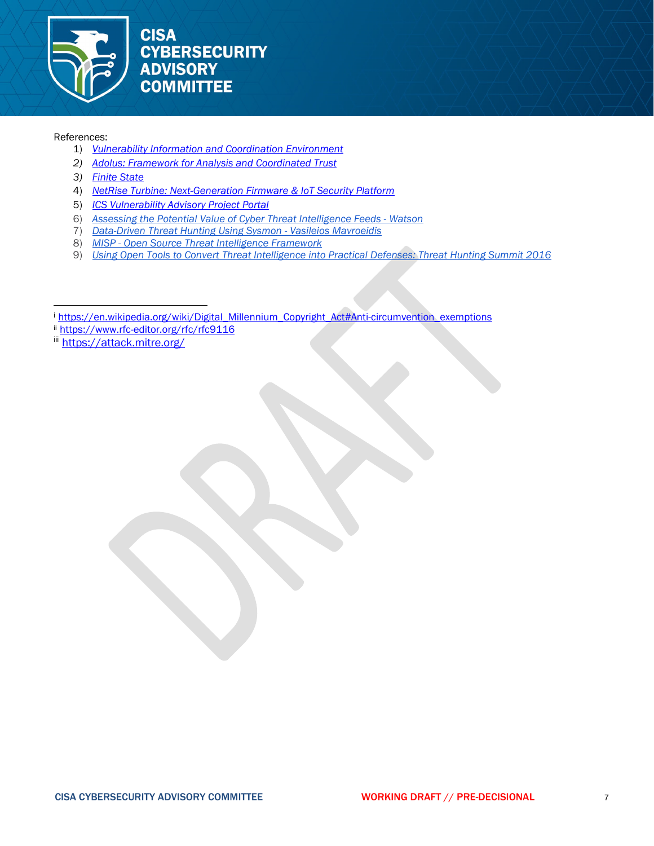

#### References:

- 1) *[Vulnerability Information and Coordination Environment](https://www.kb.cert.org/vince/)*
- *2) [Adolus: Framework for Analysis and Coordinated Trust](https://adolus.com/fact/overview/)*
- *3) [Finite State](https://finitestate.io/products/finite-state-platform/)*
- 4) *[NetRise Turbine: Next-Generation Firmware & IoT Security Platform](https://www.netrise.io/platform)*
- 5) *[ICS Vulnerability Advisory Project Portal](https://www.icsadvisoryproject.com/)*
- 6) *[Assessing the Potential Value of Cyber Threat Intelligence Feeds Watson](https://www.cisa.gov/sites/default/files/publications/Assessing%20Cyber%20Threat%20Intelligence%20Threat%20Feeds_508c.pdf)*
- 7) *Data-Driven Threat [Hunting Using Sysmon](https://dl.acm.org/doi/abs/10.1145/3199478.3199490)  [Vasileios Mavroeidis](https://dl.acm.org/profile/99659282445)*
- 8) *[MISP Open Source Threat Intelligence Framework](https://www.misp-project.org/)*
- 9) *[Using Open Tools to Convert Threat Intelligence into Practical Defenses: Threat Hunting Summit 2016](https://www.youtube.com/watch?v=_84eA4jQOec)*

<span id="page-15-1"></span>ii <https://www.rfc-editor.org/rfc/rfc9116>

<span id="page-15-2"></span>iii <https://attack.mitre.org/>

<span id="page-15-0"></span><sup>&</sup>lt;sup>i</sup> [https://en.wikipedia.org/wiki/Digital\\_Millennium\\_Copyright\\_Act#Anti-circumvention\\_exemptions](https://en.wikipedia.org/wiki/Digital_Millennium_Copyright_Act#Anti-circumvention_exemptions)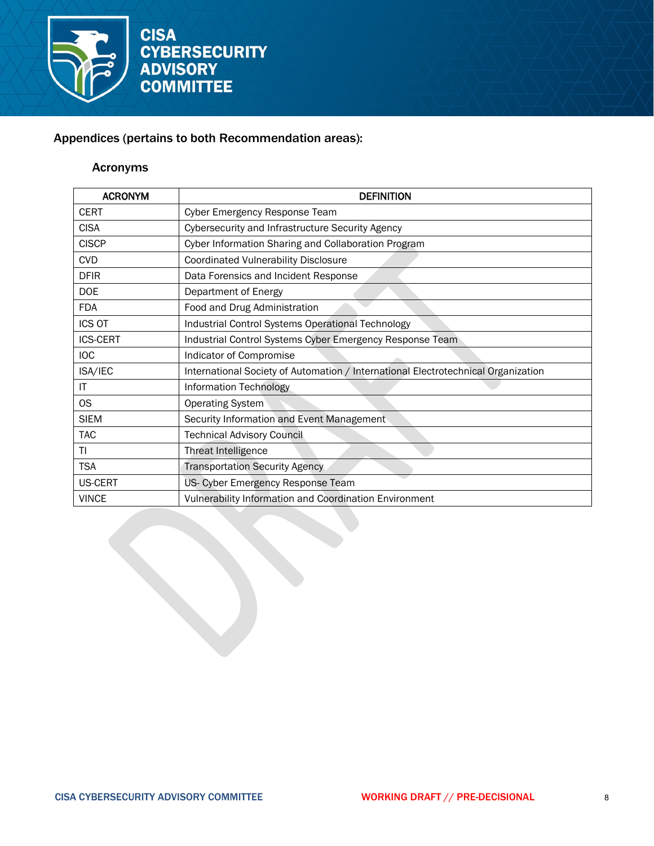

# Appendices (pertains to both Recommendation areas):

# Acronyms

| <b>ACRONYM</b>  | <b>DEFINITION</b>                                                                 |
|-----------------|-----------------------------------------------------------------------------------|
| <b>CERT</b>     | Cyber Emergency Response Team                                                     |
| <b>CISA</b>     | Cybersecurity and Infrastructure Security Agency                                  |
| <b>CISCP</b>    | Cyber Information Sharing and Collaboration Program                               |
| <b>CVD</b>      | <b>Coordinated Vulnerability Disclosure</b>                                       |
| <b>DFIR</b>     | Data Forensics and Incident Response                                              |
| <b>DOE</b>      | Department of Energy                                                              |
| <b>FDA</b>      | Food and Drug Administration                                                      |
| ICS OT          | Industrial Control Systems Operational Technology                                 |
| <b>ICS-CERT</b> | Industrial Control Systems Cyber Emergency Response Team                          |
| <b>IOC</b>      | Indicator of Compromise                                                           |
| ISA/IEC         | International Society of Automation / International Electrotechnical Organization |
| IT              | <b>Information Technology</b>                                                     |
| OS              | <b>Operating System</b>                                                           |
| <b>SIEM</b>     | Security Information and Event Management                                         |
| TAC             | <b>Technical Advisory Council</b>                                                 |
| ΤI              | Threat Intelligence                                                               |
| <b>TSA</b>      | <b>Transportation Security Agency</b>                                             |
| <b>US-CERT</b>  | US- Cyber Emergency Response Team                                                 |
| <b>VINCE</b>    | Vulnerability Information and Coordination Environment                            |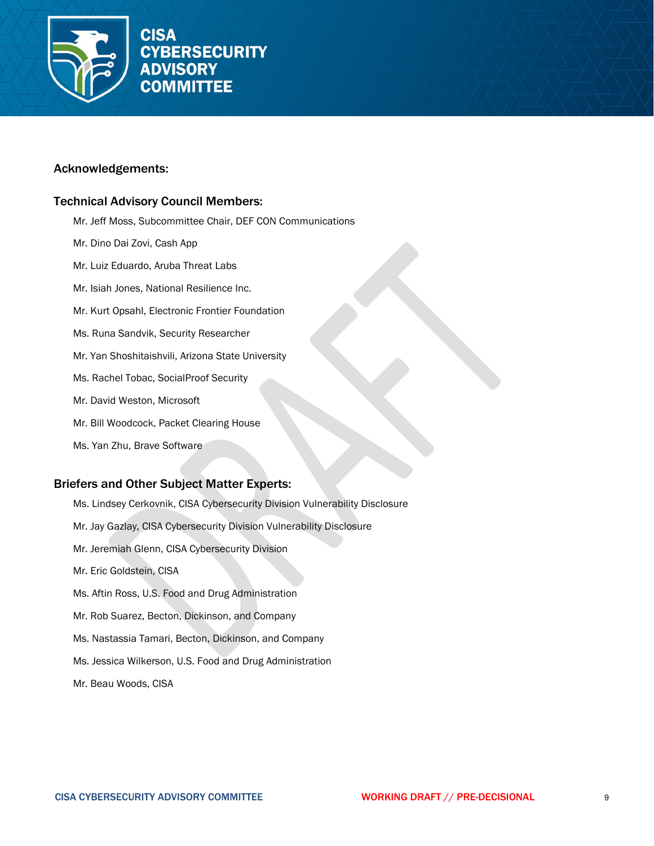

### Acknowledgements:

### Technical Advisory Council Members:

- Mr. Jeff Moss, Subcommittee Chair, DEF CON Communications
- Mr. Dino Dai Zovi, Cash App
- Mr. Luiz Eduardo, Aruba Threat Labs
- Mr. Isiah Jones, National Resilience Inc.
- Mr. Kurt Opsahl, Electronic Frontier Foundation
- Ms. Runa Sandvik, Security Researcher
- Mr. Yan Shoshitaishvili, Arizona State University
- Ms. Rachel Tobac, SocialProof Security
- Mr. David Weston, Microsoft
- Mr. Bill Woodcock, Packet Clearing House
- Ms. Yan Zhu, Brave Software

# Briefers and Other Subject Matter Experts:

Ms. Lindsey Cerkovnik, CISA Cybersecurity Division Vulnerability Disclosure Mr. Jay Gazlay, CISA Cybersecurity Division Vulnerability Disclosure Mr. Jeremiah Glenn, CISA Cybersecurity Division Mr. Eric Goldstein, CISA Ms. Aftin Ross, U.S. Food and Drug Administration Mr. Rob Suarez, Becton, Dickinson, and Company Ms. Nastassia Tamari, Becton, Dickinson, and Company Ms. Jessica Wilkerson, U.S. Food and Drug Administration Mr. Beau Woods, CISA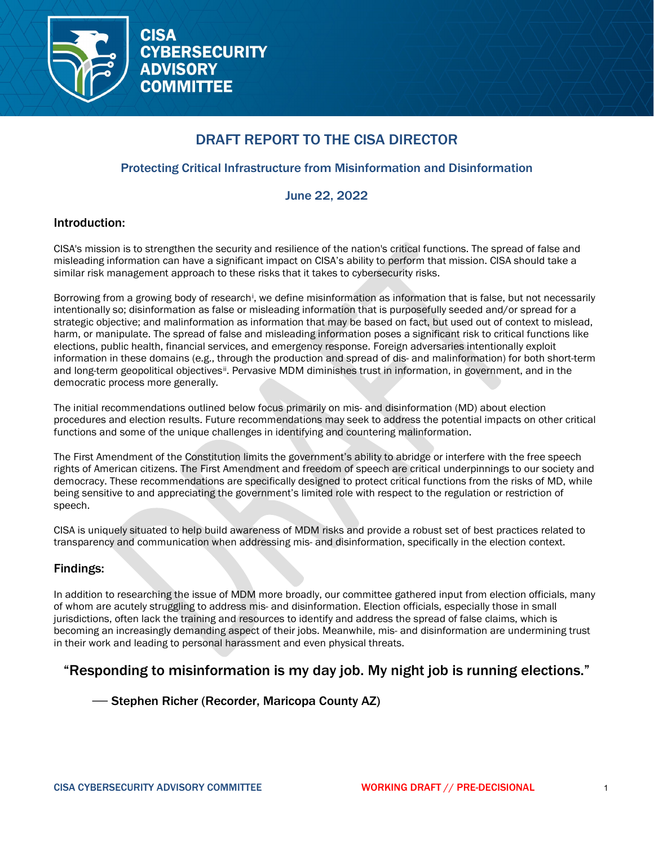

# DRAFT REPORT TO THE CISA DIRECTOR

# Protecting Critical Infrastructure from Misinformation and Disinformation

# June 22, 2022

### Introduction:

CISA's mission is to strengthen the security and resilience of the nation's critical functions. The spread of false and misleading information can have a significant impact on CISA's ability to perform that mission. CISA should take a similar risk management approach to these risks that it takes to cybersecurity risks.

Borrow[i](#page-22-0)ng from a growing body of research<sup>i</sup>, we define misinformation as information that is false, but not necessarily intentionally so; disinformation as false or misleading information that is purposefully seeded and/or spread for a strategic objective; and malinformation as information that may be based on fact, but used out of context to mislead, harm, or manipulate. The spread of false and misleading information poses a significant risk to critical functions like elections, public health, financial services, and emergency response. Foreign adversaries intentionally exploit information in these domains (e.g., through the production and spread of dis- and malinformation) for both short-term and long-term geopolitical objectives<sup>[ii](#page-22-1)</sup>. Pervasive MDM diminishes trust in information, in government, and in the democratic process more generally.

The initial recommendations outlined below focus primarily on mis- and disinformation (MD) about election procedures and election results. Future recommendations may seek to address the potential impacts on other critical functions and some of the unique challenges in identifying and countering malinformation.

The First Amendment of the Constitution limits the government's ability to abridge or interfere with the free speech rights of American citizens. The First Amendment and freedom of speech are critical underpinnings to our society and democracy. These recommendations are specifically designed to protect critical functions from the risks of MD, while being sensitive to and appreciating the government's limited role with respect to the regulation or restriction of speech.

CISA is uniquely situated to help build awareness of MDM risks and provide a robust set of best practices related to transparency and communication when addressing mis- and disinformation, specifically in the election context.

# Findings:

In addition to researching the issue of MDM more broadly, our committee gathered input from election officials, many of whom are acutely struggling to address mis- and disinformation. Election officials, especially those in small jurisdictions, often lack the training and resources to identify and address the spread of false claims, which is becoming an increasingly demanding aspect of their jobs. Meanwhile, mis- and disinformation are undermining trust in their work and leading to personal harassment and even physical threats.

# "Responding to misinformation is my day job. My night job is running elections."

— Stephen Richer (Recorder, Maricopa County AZ)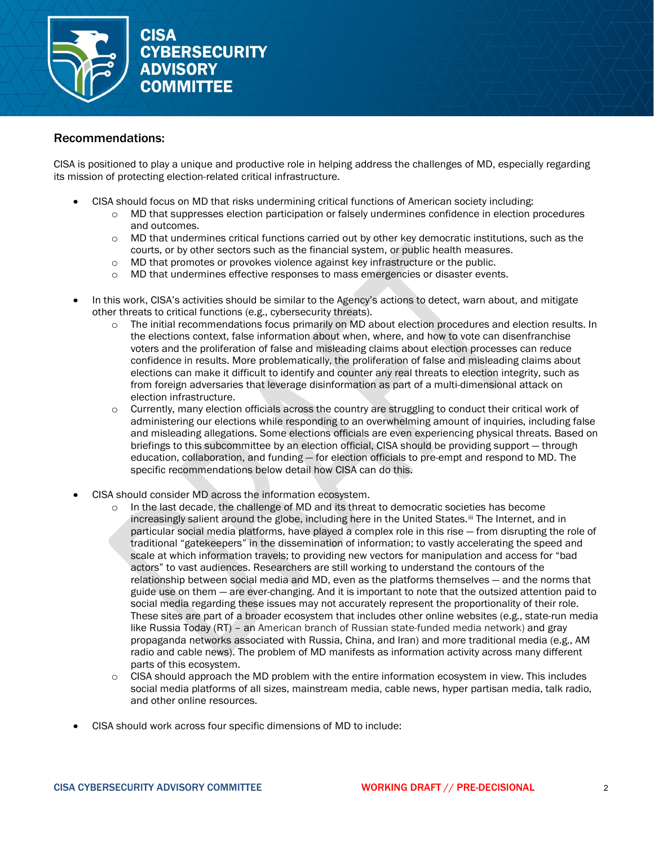

### Recommendations:

CISA is positioned to play a unique and productive role in helping address the challenges of MD, especially regarding its mission of protecting election-related critical infrastructure.

- CISA should focus on MD that risks undermining critical functions of American society including:
	- o MD that suppresses election participation or falsely undermines confidence in election procedures and outcomes.
	- o MD that undermines critical functions carried out by other key democratic institutions, such as the courts, or by other sectors such as the financial system, or public health measures.
	- o MD that promotes or provokes violence against key infrastructure or the public.
	- o MD that undermines effective responses to mass emergencies or disaster events.
- In this work, CISA's activities should be similar to the Agency's actions to detect, warn about, and mitigate other threats to critical functions (e.g., cybersecurity threats).
	- The initial recommendations focus primarily on MD about election procedures and election results. In the elections context, false information about when, where, and how to vote can disenfranchise voters and the proliferation of false and misleading claims about election processes can reduce confidence in results. More problematically, the proliferation of false and misleading claims about elections can make it difficult to identify and counter any real threats to election integrity, such as from foreign adversaries that leverage disinformation as part of a multi-dimensional attack on election infrastructure.
	- $\circ$  Currently, many election officials across the country are struggling to conduct their critical work of administering our elections while responding to an overwhelming amount of inquiries, including false and misleading allegations. Some elections officials are even experiencing physical threats. Based on briefings to this subcommittee by an election official, CISA should be providing support — through education, collaboration, and funding — for election officials to pre-empt and respond to MD. The specific recommendations below detail how CISA can do this.
- CISA should consider MD across the information ecosystem.
	- In the last decade, the challenge of MD and its threat to democratic societies has become increasingly salient around the globe, including here in the United States.<sup>iij</sup> The Internet, and in particular social media platforms, have played a complex role in this rise — from disrupting the role of traditional "gatekeepers" in the dissemination of information; to vastly accelerating the speed and scale at which information travels; to providing new vectors for manipulation and access for "bad actors" to vast audiences. Researchers are still working to understand the contours of the relationship between social media and MD, even as the platforms themselves — and the norms that guide use on them — are ever-changing. And it is important to note that the outsized attention paid to social media regarding these issues may not accurately represent the proportionality of their role. These sites are part of a broader ecosystem that includes other online websites (e.g., state-run media like Russia Today (RT) – an American branch of Russian state-funded media network) and gray propaganda networks associated with Russia, China, and Iran) and more traditional media (e.g., AM radio and cable news). The problem of MD manifests as information activity across many different parts of this ecosystem.
	- $\circ$  CISA should approach the MD problem with the entire information ecosystem in view. This includes social media platforms of all sizes, mainstream media, cable news, hyper partisan media, talk radio, and other online resources.
- CISA should work across four specific dimensions of MD to include: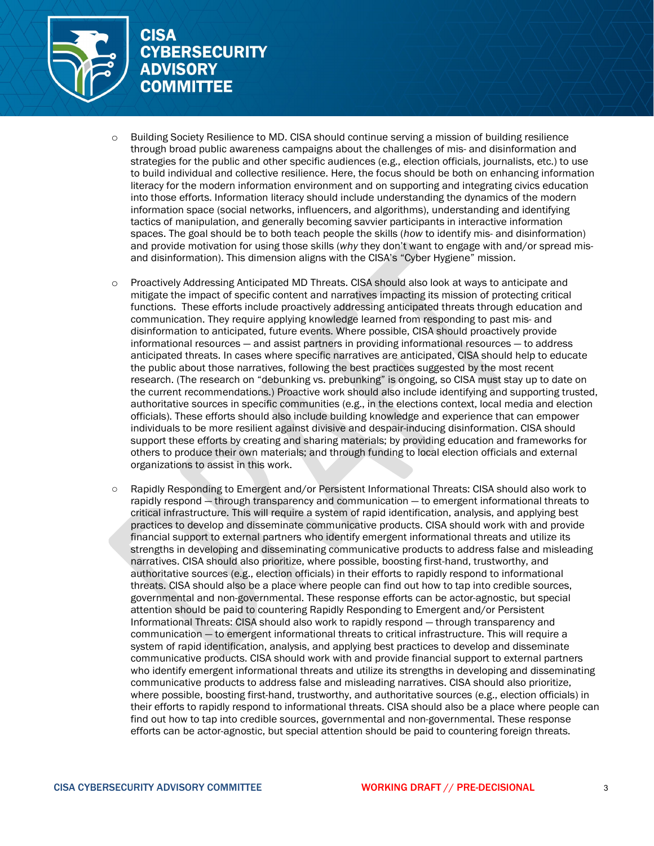

- o Building Society Resilience to MD. CISA should continue serving a mission of building resilience through broad public awareness campaigns about the challenges of mis- and disinformation and strategies for the public and other specific audiences (e.g., election officials, journalists, etc.) to use to build individual and collective resilience. Here, the focus should be both on enhancing information literacy for the modern information environment and on supporting and integrating civics education into those efforts. Information literacy should include understanding the dynamics of the modern information space (social networks, influencers, and algorithms), understanding and identifying tactics of manipulation, and generally becoming savvier participants in interactive information spaces. The goal should be to both teach people the skills (*how* to identify mis- and disinformation) and provide motivation for using those skills (*why* they don't want to engage with and/or spread misand disinformation). This dimension aligns with the CISA's "Cyber Hygiene" mission.
- o Proactively Addressing Anticipated MD Threats. CISA should also look at ways to anticipate and mitigate the impact of specific content and narratives impacting its mission of protecting critical functions. These efforts include proactively addressing anticipated threats through education and communication. They require applying knowledge learned from responding to past mis- and disinformation to anticipated, future events. Where possible, CISA should proactively provide informational resources — and assist partners in providing informational resources — to address anticipated threats. In cases where specific narratives are anticipated, CISA should help to educate the public about those narratives, following the best practices suggested by the most recent research. (The research on "debunking vs. prebunking" is ongoing, so CISA must stay up to date on the current recommendations.) Proactive work should also include identifying and supporting trusted, authoritative sources in specific communities (e.g., in the elections context, local media and election officials). These efforts should also include building knowledge and experience that can empower individuals to be more resilient against divisive and despair-inducing disinformation. CISA should support these efforts by creating and sharing materials; by providing education and frameworks for others to produce their own materials; and through funding to local election officials and external organizations to assist in this work.
- Rapidly Responding to Emergent and/or Persistent Informational Threats: CISA should also work to rapidly respond — through transparency and communication — to emergent informational threats to critical infrastructure. This will require a system of rapid identification, analysis, and applying best practices to develop and disseminate communicative products. CISA should work with and provide financial support to external partners who identify emergent informational threats and utilize its strengths in developing and disseminating communicative products to address false and misleading narratives. CISA should also prioritize, where possible, boosting first-hand, trustworthy, and authoritative sources (e.g., election officials) in their efforts to rapidly respond to informational threats. CISA should also be a place where people can find out how to tap into credible sources, governmental and non-governmental. These response efforts can be actor-agnostic, but special attention should be paid to countering Rapidly Responding to Emergent and/or Persistent Informational Threats: CISA should also work to rapidly respond — through transparency and communication — to emergent informational threats to critical infrastructure. This will require a system of rapid identification, analysis, and applying best practices to develop and disseminate communicative products. CISA should work with and provide financial support to external partners who identify emergent informational threats and utilize its strengths in developing and disseminating communicative products to address false and misleading narratives. CISA should also prioritize, where possible, boosting first-hand, trustworthy, and authoritative sources (e.g., election officials) in their efforts to rapidly respond to informational threats. CISA should also be a place where people can find out how to tap into credible sources, governmental and non-governmental. These response efforts can be actor-agnostic, but special attention should be paid to countering foreign threats.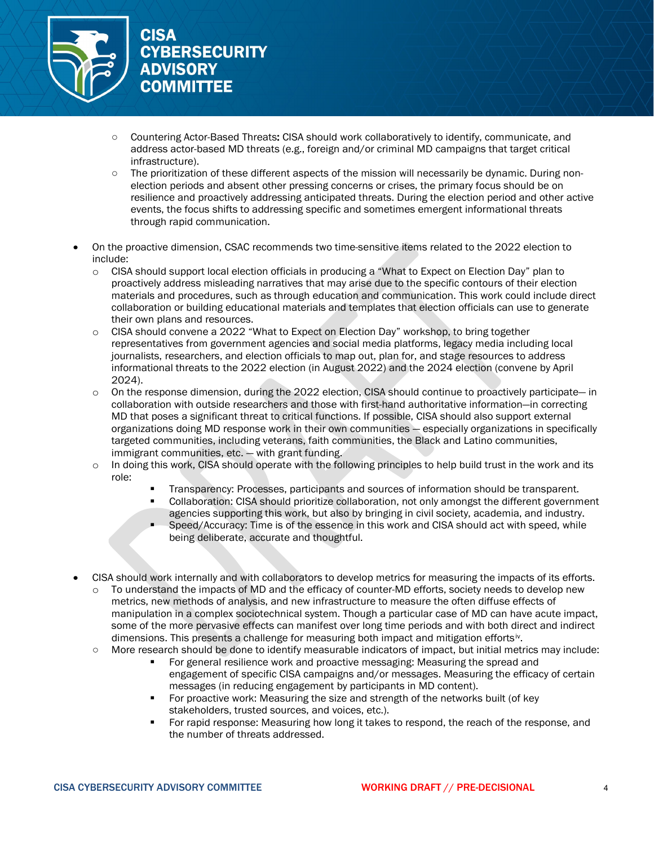

- Countering Actor-Based Threats: CISA should work collaboratively to identify, communicate, and address actor-based MD threats (e.g., foreign and/or criminal MD campaigns that target critical infrastructure).
- The prioritization of these different aspects of the mission will necessarily be dynamic. During nonelection periods and absent other pressing concerns or crises, the primary focus should be on resilience and proactively addressing anticipated threats. During the election period and other active events, the focus shifts to addressing specific and sometimes emergent informational threats through rapid communication.
- On the proactive dimension, CSAC recommends two time-sensitive items related to the 2022 election to include:
	- $\circ$  CISA should support local election officials in producing a "What to Expect on Election Day" plan to proactively address misleading narratives that may arise due to the specific contours of their election materials and procedures, such as through education and communication. This work could include direct collaboration or building educational materials and templates that election officials can use to generate their own plans and resources.
	- $\circ$  CISA should convene a 2022 "What to Expect on Election Day" workshop, to bring together representatives from government agencies and social media platforms, legacy media including local journalists, researchers, and election officials to map out, plan for, and stage resources to address informational threats to the 2022 election (in August 2022) and the 2024 election (convene by April 2024).
	- $\circ$  On the response dimension, during the 2022 election, CISA should continue to proactively participate— in collaboration with outside researchers and those with first-hand authoritative information—in correcting MD that poses a significant threat to critical functions. If possible, CISA should also support external organizations doing MD response work in their own communities — especially organizations in specifically targeted communities, including veterans, faith communities, the Black and Latino communities, immigrant communities, etc. — with grant funding.
	- o In doing this work, CISA should operate with the following principles to help build trust in the work and its role:
		- Transparency: Processes, participants and sources of information should be transparent. Collaboration: CISA should prioritize collaboration, not only amongst the different government
		- agencies supporting this work, but also by bringing in civil society, academia, and industry. Speed/Accuracy: Time is of the essence in this work and CISA should act with speed, while
		- being deliberate, accurate and thoughtful.
- CISA should work internally and with collaborators to develop metrics for measuring the impacts of its efforts.
	- o To understand the impacts of MD and the efficacy of counter-MD efforts, society needs to develop new metrics, new methods of analysis, and new infrastructure to measure the often diffuse effects of manipulation in a complex sociotechnical system. Though a particular case of MD can have acute impact, some of the more pervasive effects can manifest over long time periods and with both direct and indirect dimensions. This presents a challenge for measuring both impact and mitigation efforts[iv](#page-22-3).
	- More research should be done to identify measurable indicators of impact, but initial metrics may include:
		- For general resilience work and proactive messaging: Measuring the spread and engagement of specific CISA campaigns and/or messages. Measuring the efficacy of certain messages (in reducing engagement by participants in MD content).
		- **For proactive work: Measuring the size and strength of the networks built (of key** stakeholders, trusted sources, and voices, etc.).
		- For rapid response: Measuring how long it takes to respond, the reach of the response, and the number of threats addressed.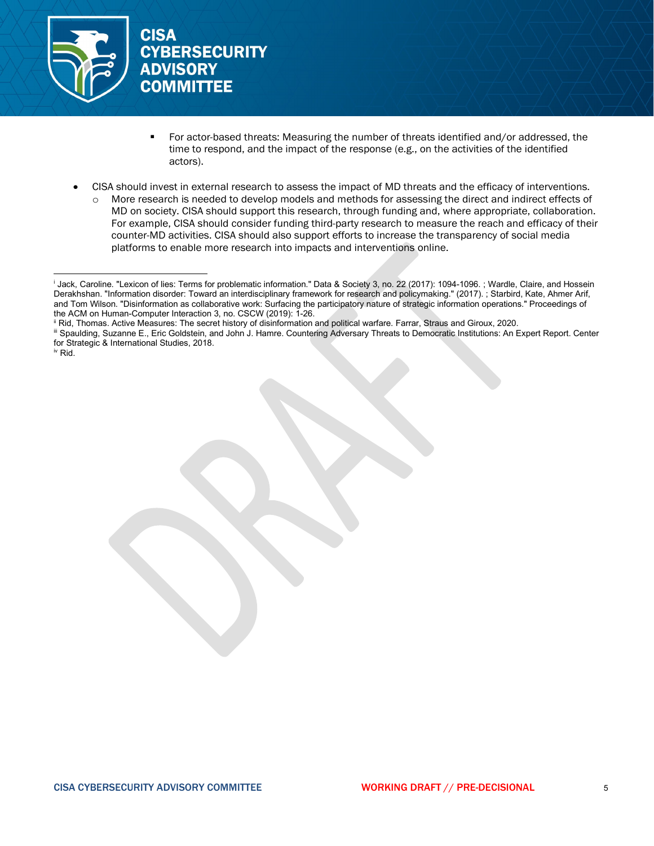

- For actor-based threats: Measuring the number of threats identified and/or addressed, the time to respond, and the impact of the response (e.g., on the activities of the identified actors).
- CISA should invest in external research to assess the impact of MD threats and the efficacy of interventions.
	- o More research is needed to develop models and methods for assessing the direct and indirect effects of MD on society. CISA should support this research, through funding and, where appropriate, collaboration. For example, CISA should consider funding third-party research to measure the reach and efficacy of their counter-MD activities. CISA should also support efforts to increase the transparency of social media platforms to enable more research into impacts and interventions online.

<span id="page-22-3"></span>iv Rid.

<span id="page-22-0"></span><sup>i</sup> Jack, Caroline. "Lexicon of lies: Terms for problematic information." Data & Society 3, no. 22 (2017): 1094-1096. ; Wardle, Claire, and Hossein Derakhshan. "Information disorder: Toward an interdisciplinary framework for research and policymaking." (2017). ; Starbird, Kate, Ahmer Arif, and Tom Wilson. "Disinformation as collaborative work: Surfacing the participatory nature of strategic information operations." Proceedings of the ACM on Human-Computer Interaction 3, no. CSCW (2019): 1-26.

<span id="page-22-1"></span>ii Rid, Thomas. Active Measures: The secret history of disinformation and political warfare. Farrar, Straus and Giroux, 2020.

<span id="page-22-2"></span>iii Spaulding, Suzanne E., Eric Goldstein, and John J. Hamre. Countering Adversary Threats to Democratic Institutions: An Expert Report. Center for Strategic & International Studies, 2018.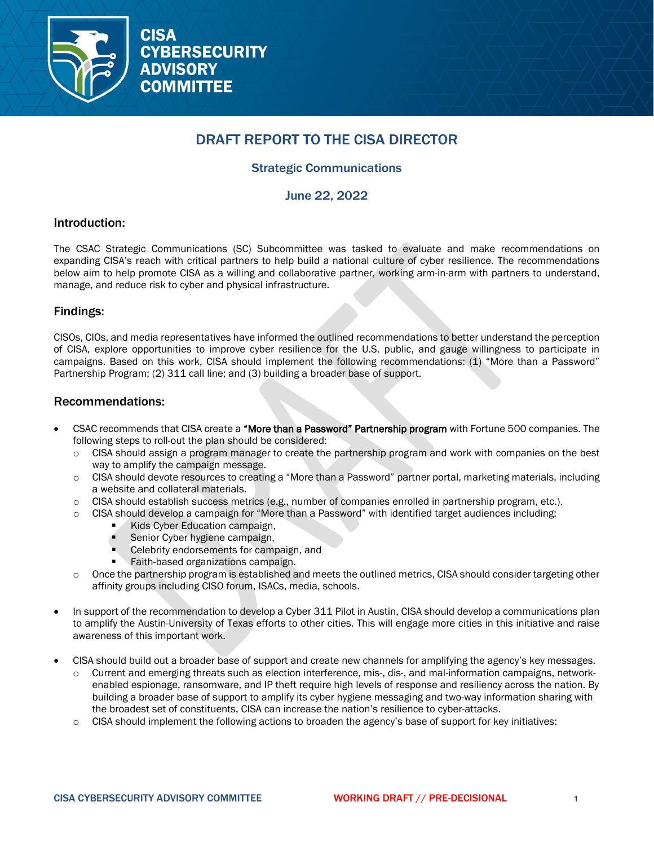

# DRAFT REPORT TO THE CISA DIRECTOR

# Strategic Communications

June 22, 2022

### Introduction:

The CSAC Strategic Communications (SC) Subcommittee was tasked to evaluate and make recommendations on expanding CISA's reach with critical partners to help build a national culture of cyber resilience. The recommendations below aim to help promote CISA as a willing and collaborative partner, working arm-in-arm with partners to understand, manage, and reduce risk to cyber and physical infrastructure.

### Findings:

CISOs, CIOs, and media representatives have informed the outlined recommendations to better understand the perception of CISA, explore opportunities to improve cyber resilience for the U.S. public, and gauge willingness to participate in campaigns. Based on this work, CISA should implement the following recommendations: (1) "More than a Password" Partnership Program; (2) 311 call line; and (3) building a broader base of support.

### Recommendations:

- CSAC recommends that CISA create a "More than a Password" Partnership program with Fortune 500 companies. The following steps to roll-out the plan should be considered:
	- o CISA should assign a program manager to create the partnership program and work with companies on the best way to amplify the campaign message.
	- o CISA should devote resources to creating a "More than a Password" partner portal, marketing materials, including a website and collateral materials.
	- $\circ$  CISA should establish success metrics (e.g., number of companies enrolled in partnership program, etc.).
	- $\circ$  CISA should develop a campaign for "More than a Password" with identified target audiences including:
		- Kids Cyber Education campaign,
		- Senior Cyber hygiene campaign,
		- Celebrity endorsements for campaign, and
		- Faith-based organizations campaign.
	- o Once the partnership program is established and meets the outlined metrics, CISA should consider targeting other affinity groups including CISO forum, ISACs, media, schools.
- In support of the recommendation to develop a Cyber 311 Pilot in Austin, CISA should develop a communications plan to amplify the Austin-University of Texas efforts to other cities. This will engage more cities in this initiative and raise awareness of this important work.
- CISA should build out a broader base of support and create new channels for amplifying the agency's key messages.
	- o Current and emerging threats such as election interference, mis-, dis-, and mal-information campaigns, networkenabled espionage, ransomware, and IP theft require high levels of response and resiliency across the nation. By building a broader base of support to amplify its cyber hygiene messaging and two-way information sharing with the broadest set of constituents, CISA can increase the nation's resilience to cyber-attacks.
	- $\circ$  CISA should implement the following actions to broaden the agency's base of support for key initiatives: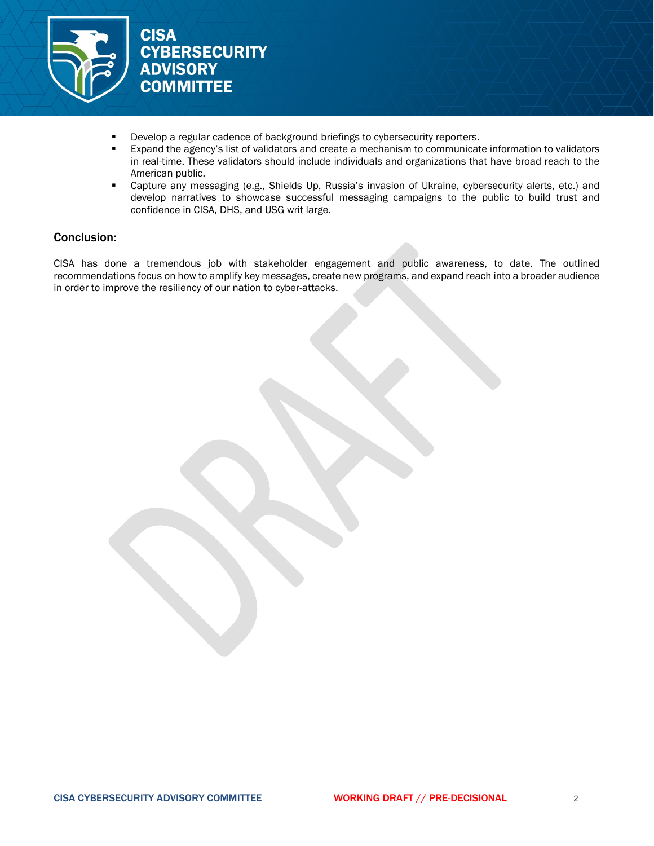

- Develop a regular cadence of background briefings to cybersecurity reporters.
- Expand the agency's list of validators and create a mechanism to communicate information to validators in real-time. These validators should include individuals and organizations that have broad reach to the American public.
- Capture any messaging (e.g., Shields Up, Russia's invasion of Ukraine, cybersecurity alerts, etc.) and develop narratives to showcase successful messaging campaigns to the public to build trust and confidence in CISA, DHS, and USG writ large.

### Conclusion:

CISA has done a tremendous job with stakeholder engagement and public awareness, to date. The outlined recommendations focus on how to amplify key messages, create new programs, and expand reach into a broader audience in order to improve the resiliency of our nation to cyber-attacks.